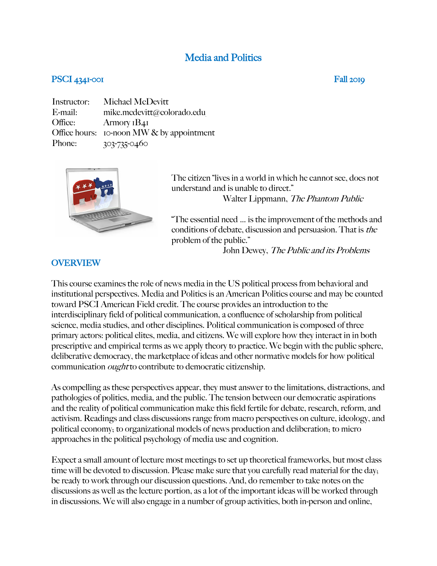# Media and Politics

### PSCI 4341-001 Fall 2019

Instructor: Michael McDevitt E-mail: mike.mcdevitt@colorado.edu Office: Armory 1B41 Office hours: 10-noon MW & by appointment Phone: 303-735-0460



The citizen "lives in a world in which he cannot see, does not understand and is unable to direct." Walter Lippmann, The Phantom Public

"The essential need … is the improvement of the methods and conditions of debate, discussion and persuasion. That is the problem of the public."

John Dewey, The Public and its Problems

#### OVERVIEW

This course examines the role of news media in the US political process from behavioral and institutional perspectives. Media and Politics is an American Politics course and may be counted toward PSCI American Field credit. The course provides an introduction to the interdisciplinary field of political communication, a confluence of scholarship from political science, media studies, and other disciplines. Political communication is composed of three primary actors: political elites, media, and citizens. We will explore how they interact in in both prescriptive and empirical terms as we apply theory to practice. We begin with the public sphere, deliberative democracy, the marketplace of ideas and other normative models for how political communication ought to contribute to democratic citizenship.

As compelling as these perspectives appear, they must answer to the limitations, distractions, and pathologies of politics, media, and the public. The tension between our democratic aspirations and the reality of political communication make this field fertile for debate, research, reform, and activism. Readings and class discussions range from macro perspectives on culture, ideology, and political economy; to organizational models of news production and deliberation; to micro approaches in the political psychology of media use and cognition.

Expect a small amount of lecture most meetings to set up theoretical frameworks, but most class time will be devoted to discussion. Please make sure that you carefully read material for the day; be ready to work through our discussion questions. And, do remember to take notes on the discussions as well as the lecture portion, as a lot of the important ideas will be worked through in discussions. We will also engage in a number of group activities, both in-person and online,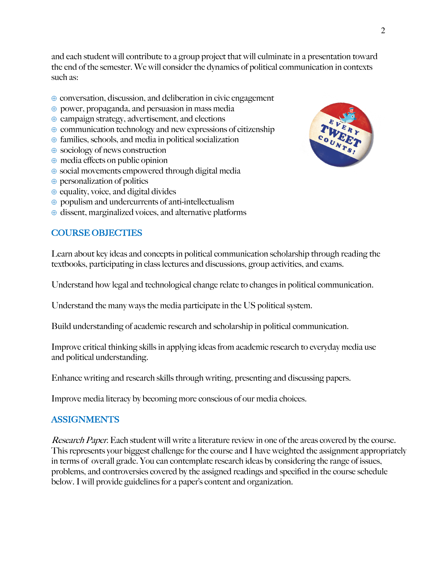and each student will contribute to a group project that will culminate in a presentation toward the end of the semester. We will consider the dynamics of political communication in contexts such as:

- $\oplus$  conversation, discussion, and deliberation in civic engagement
- $\oplus$  power, propaganda, and persuasion in mass media
- $\oplus$  campaign strategy, advertisement, and elections
- $\oplus$  communication technology and new expressions of citizenship
- $\oplus$  families, schools, and media in political socialization
- $\oplus$  sociology of news construction
- $\oplus$  media effects on public opinion
- $\oplus$  social movements empowered through digital media
- $\oplus$  personalization of politics
- $\oplus$  equality, voice, and digital divides
- $\oplus$  populism and undercurrents of anti-intellectualism
- $\oplus$  dissent, marginalized voices, and alternative platforms

# COURSE OBJECTIES

Learn about key ideas and concepts in political communication scholarship through reading the textbooks, participating in class lectures and discussions, group activities, and exams.

Understand how legal and technological change relate to changes in political communication.

Understand the many ways the media participate in the US political system.

Build understanding of academic research and scholarship in political communication.

Improve critical thinking skills in applying ideas from academic research to everyday media use and political understanding.

Enhance writing and research skills through writing, presenting and discussing papers.

Improve media literacy by becoming more conscious of our media choices.

# ASSIGNMENTS

Research Paper. Each student will write a literature review in one of the areas covered by the course. This represents your biggest challenge for the course and I have weighted the assignment appropriately in terms of overall grade. You can contemplate research ideas by considering the range of issues, problems, and controversies covered by the assigned readings and specified in the course schedule below. I will provide guidelines for a paper's content and organization.

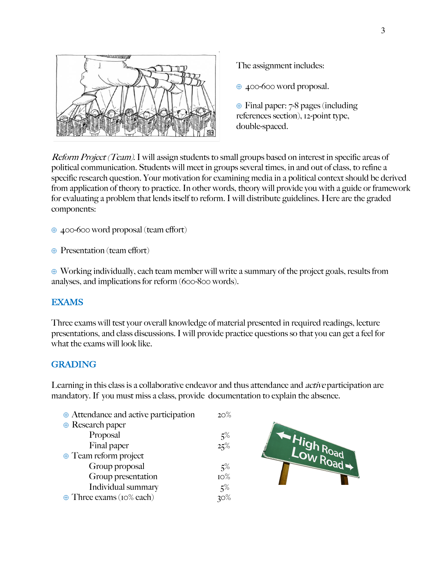

The assignment includes:

 $\oplus$  400-600 word proposal.

 $\oplus$  Final paper: 7-8 pages (including references section), 12-point type, double-spaced.

Reform Project (Team). I will assign students to small groups based on interest in specific areas of political communication. Students will meet in groups several times, in and out of class, to refine a specific research question. Your motivation for examining media in a political context should be derived from application of theory to practice. In other words, theory will provide you with a guide or framework for evaluating a problem that lends itself to reform. I will distribute guidelines. Here are the graded components:

 $\oplus$  400-600 word proposal (team effort)

 $\oplus$  Presentation (team effort)

 $\oplus$  Working individually, each team member will write a summary of the project goals, results from analyses, and implications for reform (600-800 words).

#### EXAMS

Three exams will test your overall knowledge of material presented in required readings, lecture presentations, and class discussions. I will provide practice questions so that you can get a feel for what the exams will look like.

# GRADING

Learning in this class is a collaborative endeavor and thus attendance and *active* participation are mandatory. If you must miss a class, provide documentation to explain the absence.

| $\oplus$ Attendance and active participation | $20\%$ |
|----------------------------------------------|--------|
| $\oplus$ Research paper                      |        |
| Proposal                                     | 5%     |
| Final paper                                  | 25%    |
| $\oplus$ Team reform project                 |        |
| Group proposal                               | $5\%$  |
| Group presentation                           | IO%    |
| Individual summary                           | 5%     |
| $\oplus$ Three exams (10% each)              |        |

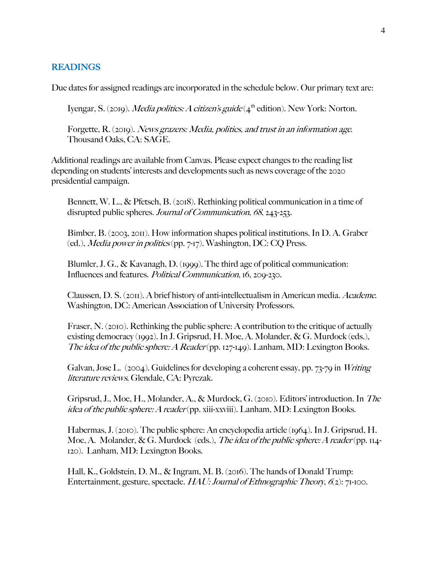#### **READINGS**

Due dates for assigned readings are incorporated in the schedule below. Our primary text are:

Iyengar, S. (2019). *Media politics: A citizen's guide* ( $4<sup>th</sup>$  edition). New York: Norton.

Forgette, R. (2019). News grazers: Media, politics, and trust in an information age. Thousand Oaks, CA: SAGE.

Additional readings are available from Canvas. Please expect changes to the reading list depending on students' interests and developments such as news coverage of the 2020 presidential campaign.

Bennett, W. L., & Pfetsch, B. (2018). Rethinking political communication in a time of disrupted public spheres. Journal of Communication, 68, 243-253.

Bimber, B. (2003, 2011). How information shapes political institutions. In D. A. Graber (ed.), Media power in politics (pp. 7-17). Washington, DC: CQ Press.

Blumler, J. G., & Kavanagh, D. (1999). The third age of political communication: Influences and features. Political Communication, 16, 209-230.

Claussen, D. S. (2011). A brief history of anti-intellectualism in American media. Academe. Washington, DC: American Association of University Professors.

Fraser, N. (2010). Rethinking the public sphere: A contribution to the critique of actually existing democracy (1992). In J. Gripsrud, H. Moe, A. Molander, & G. Murdock (eds.), The idea of the public sphere: A Reader (pp. 127-149). Lanham, MD: Lexington Books.

Galvan, Jose L. (2004). Guidelines for developing a coherent essay, pp. 73-79 in Writing literature reviews. Glendale, CA: Pyrczak.

Gripsrud, J., Moe, H., Molander, A., & Murdock, G. (2010). Editors' introduction. In The idea of the public sphere: A reader (pp. xiii-xxviii). Lanham, MD: Lexington Books.

Habermas, J. (2010). The public sphere: An encyclopedia article (1964). In J. Gripsrud, H. Moe, A. Molander, & G. Murdock (eds.), The idea of the public sphere: A reader (pp. 114-120). Lanham, MD: Lexington Books.

Hall, K., Goldstein, D. M., & Ingram, M. B. (2016). The hands of Donald Trump: Entertainment, gesture, spectacle.  $HAL: Journal of Ethnographic Theory, 6(2): 71-100.$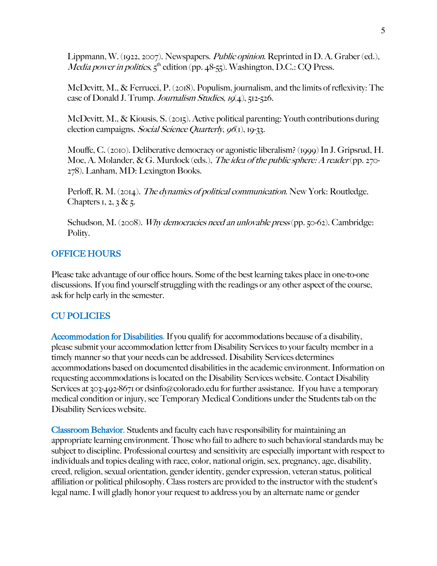Lippmann, W. (1922, 2007). Newspapers. *Public opinion*. Reprinted in D. A. Graber (ed.), *Media power in politics*,  $5<sup>th</sup>$  edition (pp. 48-55). Washington, D.C.: CQ Press.

McDevitt, M., & Ferrucci, P. (2018). Populism, journalism, and the limits of reflexivity: The case of Donald J. Trump. Journalism Studies,  $IQ(4)$ , 512-526.

McDevitt, M., & Kiousis, S. (2015). Active political parenting: Youth contributions during election campaigns. Social Science Quarterly,  $961$ , 19-33.

Mouffe, C. (2010). Deliberative democracy or agonistic liberalism? (1999) In J. Gripsrud, H. Moe, A. Molander, & G. Murdock (eds.), The idea of the public sphere: A reader (pp. 270-278). Lanham, MD: Lexington Books.

Perloff, R. M. (2014). *The dynamics of political communication*. New York: Routledge. Chapters 1, 2, 3 & 5.

Schudson, M. (2008). *Why democracies need an unlovable press* (pp. 50-62). Cambridge: Polity.

#### OFFICE HOURS

Please take advantage of our office hours. Some of the best learning takes place in one-to-one discussions. If you find yourself struggling with the readings or any other aspect of the course, ask for help early in the semester.

# CU POLICIES

Accommodation for Disabilities. If you qualify for accommodations because of a disability, please submit your accommodation letter from Disability Services to your faculty member in a timely manner so that your needs can be addressed. Disability Services determines accommodations based on documented disabilities in the academic environment. Information on requesting accommodations is located on the Disability Services website. Contact Disability Services at 303-492-8671 or dsinfo@colorado.edu for further assistance. If you have a temporary medical condition or injury, see Temporary Medical Conditions under the Students tab on the Disability Services website.

Classroom Behavior. Students and faculty each have responsibility for maintaining an appropriate learning environment. Those who fail to adhere to such behavioral standards may be subject to discipline. Professional courtesy and sensitivity are especially important with respect to individuals and topics dealing with race, color, national origin, sex, pregnancy, age, disability, creed, religion, sexual orientation, gender identity, gender expression, veteran status, political affiliation or political philosophy. Class rosters are provided to the instructor with the student's legal name. I will gladly honor your request to address you by an alternate name or gender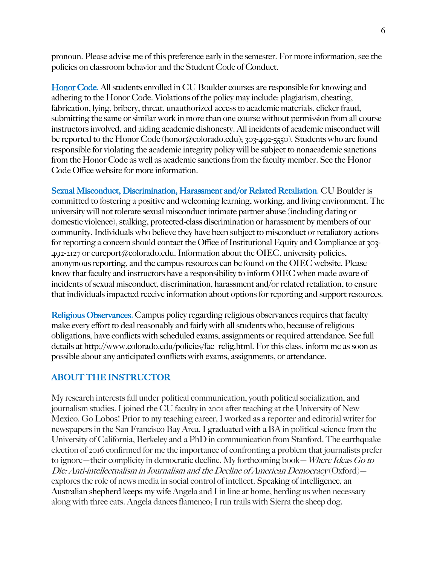pronoun. Please advise me of this preference early in the semester. For more information, see the policies on classroom behavior and the Student Code of Conduct.

Honor Code. All students enrolled in CU Boulder courses are responsible for knowing and adhering to the Honor Code. Violations of the policy may include: plagiarism, cheating, fabrication, lying, bribery, threat, unauthorized access to academic materials, clicker fraud, submitting the same or similar work in more than one course without permission from all course instructors involved, and aiding academic dishonesty. All incidents of academic misconduct will be reported to the Honor Code (honor@colorado.edu); 303-492-5550). Students who are found responsible for violating the academic integrity policy will be subject to nonacademic sanctions from the Honor Code as well as academic sanctions from the faculty member. See the Honor Code Office website for more information.

Sexual Misconduct, Discrimination, Harassment and/or Related Retaliation. CU Boulder is committed to fostering a positive and welcoming learning, working, and living environment. The university will not tolerate sexual misconduct intimate partner abuse (including dating or domestic violence), stalking, protected-class discrimination or harassment by members of our community. Individuals who believe they have been subject to misconduct or retaliatory actions for reporting a concern should contact the Office of Institutional Equity and Compliance at 303- 492-2127 or cureport@colorado.edu. Information about the OIEC, university policies, anonymous reporting, and the campus resources can be found on the OIEC website. Please know that faculty and instructors have a responsibility to inform OIEC when made aware of incidents of sexual misconduct, discrimination, harassment and/or related retaliation, to ensure that individuals impacted receive information about options for reporting and support resources.

Religious Observances. Campus policy regarding religious observances requires that faculty make every effort to deal reasonably and fairly with all students who, because of religious obligations, have conflicts with scheduled exams, assignments or required attendance. See full details at http://www.colorado.edu/policies/fac\_relig.html. For this class, inform me as soon as possible about any anticipated conflicts with exams, assignments, or attendance.

# ABOUT THE INSTRUCTOR

My research interests fall under political communication, youth political socialization, and journalism studies. I joined the CU faculty in 2001 after teaching at the University of New Mexico. Go Lobos! Prior to my teaching career, I worked as a reporter and editorial writer for newspapers in the San Francisco Bay Area. I graduated with a BA in political science from the University of California, Berkeley and a PhD in communication from Stanford. The earthquake election of 2016 confirmed for me the importance of confronting a problem that journalists prefer to ignore—their complicity in democratic decline. My forthcoming book—Where Ideas Go to Die: Anti-intellectualism in Journalism and the Decline of American Democracy (Oxford) explores the role of news media in social control of intellect. Speaking of intelligence, an Australian shepherd keeps my wife Angela and I in line at home, herding us when necessary along with three cats. Angela dances flamenco; I run trails with Sierra the sheep dog.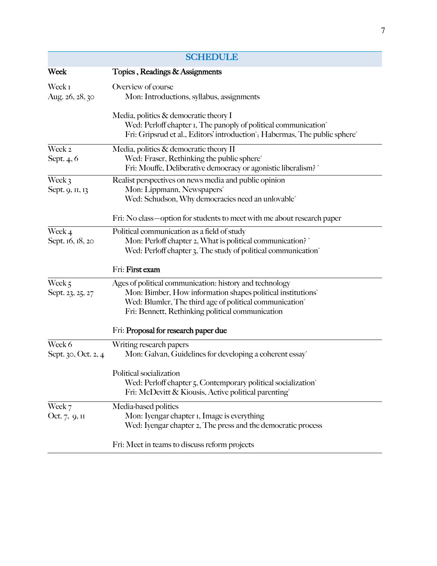| <b>SCHEDULE</b>                 |                                                                                                                                                                                                                                                               |
|---------------------------------|---------------------------------------------------------------------------------------------------------------------------------------------------------------------------------------------------------------------------------------------------------------|
| Week                            | Topics, Readings & Assignments                                                                                                                                                                                                                                |
| Week I<br>Aug. 26, 28, 30       | Overview of course<br>Mon: Introductions, syllabus, assignments                                                                                                                                                                                               |
|                                 | Media, politics & democratic theory I<br>Wed: Perloff chapter I, The panoply of political communication <sup>^</sup><br>Fri: Gripsrud et al., Editors' introduction'; Habermas, The public sphere'                                                            |
| Week <sub>2</sub><br>Sept. 4, 6 | Media, politics & democratic theory II<br>Wed: Fraser, Rethinking the public sphere <sup>^</sup><br>Fri: Mouffe, Deliberative democracy or agonistic liberalism? ^                                                                                            |
| Week 3<br>Sept. 9, 11, 13       | Realist perspectives on news media and public opinion<br>Mon: Lippmann, Newspapers <sup>^</sup><br>Wed: Schudson, Why democracies need an unlovable <sup>^</sup>                                                                                              |
|                                 | Fri: No class—option for students to meet with me about research paper                                                                                                                                                                                        |
| Week 4<br>Sept. 16, 18, 20      | Political communication as a field of study<br>Mon: Perloff chapter 2, What is political communication?<br>Wed: Perloff chapter 3, The study of political communication <sup>^</sup>                                                                          |
|                                 | Fri: First exam                                                                                                                                                                                                                                               |
| Week $5$<br>Sept. 23, 25, 27    | Ages of political communication: history and technology<br>Mon: Bimber, How information shapes political institutions <sup>^</sup><br>Wed: Blumler, The third age of political communication <sup>^</sup><br>Fri: Bennett, Rethinking political communication |
|                                 | Fri: Proposal for research paper due                                                                                                                                                                                                                          |
| Week 6<br>Sept. 30, Oct. 2, 4   | Writing research papers<br>Mon: Galvan, Guidelines for developing a coherent essay^                                                                                                                                                                           |
|                                 | Political socialization<br>Wed: Perloff chapter 5, Contemporary political socialization <sup>^</sup><br>Fri: McDevitt & Kiousis, Active political parenting                                                                                                   |
| Week 7<br>Oct. 7, 9, II         | Media-based politics<br>Mon: Iyengar chapter I, Image is everything<br>Wed: Iyengar chapter 2, The press and the democratic process                                                                                                                           |
|                                 | Fri: Meet in teams to discuss reform projects                                                                                                                                                                                                                 |